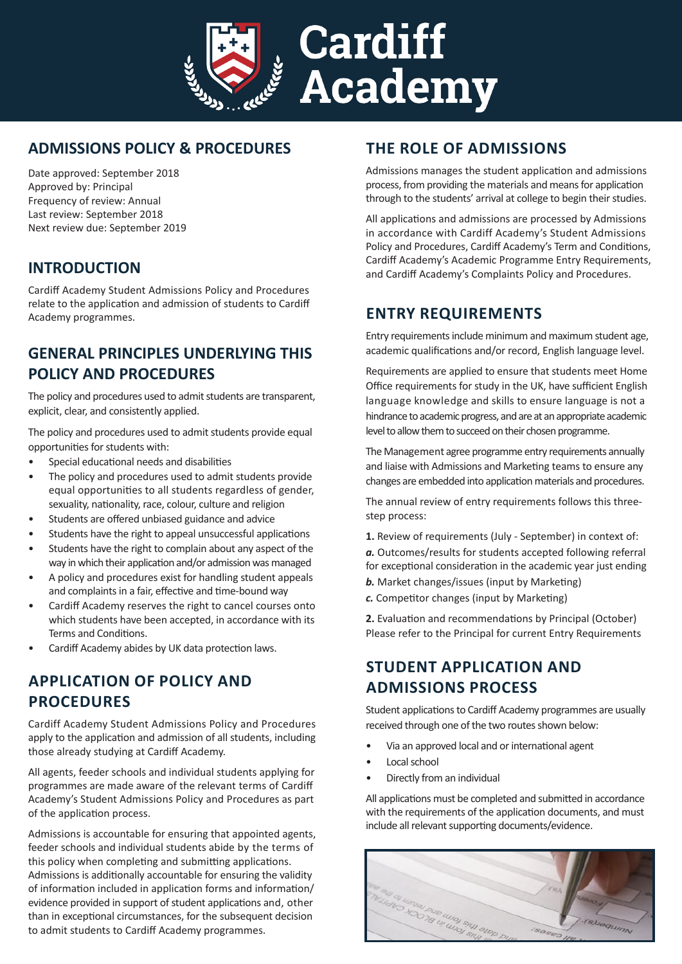

# **ADMISSIONS POLICY & PROCEDURES**

Date approved: September 2018 Approved by: Principal Frequency of review: Annual Last review: September 2018 Next review due: September 2019

### **INTRODUCTION**

Cardiff Academy Student Admissions Policy and Procedures relate to the application and admission of students to Cardiff Academy programmes.

## **GENERAL PRINCIPLES UNDERLYING THIS POLICY AND PROCEDURES**

The policy and procedures used to admit students are transparent, explicit, clear, and consistently applied.

The policy and procedures used to admit students provide equal opportunities for students with:

- Special educational needs and disabilities
- The policy and procedures used to admit students provide equal opportunities to all students regardless of gender, sexuality, nationality, race, colour, culture and religion
- Students are offered unbiased guidance and advice
- Students have the right to appeal unsuccessful applications
- Students have the right to complain about any aspect of the way in which their application and/or admission was managed
- A policy and procedures exist for handling student appeals and complaints in a fair, effective and time-bound way
- Cardiff Academy reserves the right to cancel courses onto which students have been accepted, in accordance with its Terms and Conditions.
- Cardiff Academy abides by UK data protection laws.

# **APPLICATION OF POLICY AND PROCEDURES**

Cardiff Academy Student Admissions Policy and Procedures apply to the application and admission of all students, including those already studying at Cardiff Academy.

All agents, feeder schools and individual students applying for programmes are made aware of the relevant terms of Cardiff Academy's Student Admissions Policy and Procedures as part of the application process.

Admissions is accountable for ensuring that appointed agents, feeder schools and individual students abide by the terms of this policy when completing and submitting applications. Admissions is additionally accountable for ensuring the validity of information included in application forms and information/ evidence provided in support of student applications and, other than in exceptional circumstances, for the subsequent decision to admit students to Cardiff Academy programmes.

## **THE ROLE OF ADMISSIONS**

Admissions manages the student application and admissions process, from providing the materials and means for application through to the students' arrival at college to begin their studies.

All applications and admissions are processed by Admissions in accordance with Cardiff Academy's Student Admissions Policy and Procedures, Cardiff Academy's Term and Conditions, Cardiff Academy's Academic Programme Entry Requirements, and Cardiff Academy's Complaints Policy and Procedures.

### **ENTRY REQUIREMENTS**

Entry requirements include minimum and maximum student age, academic qualifications and/or record, English language level.

Requirements are applied to ensure that students meet Home Office requirements for study in the UK, have sufficient English language knowledge and skills to ensure language is not a hindrance to academic progress, and are at an appropriate academic level to allow them to succeed on their chosen programme.

The Management agree programme entry requirements annually and liaise with Admissions and Marketing teams to ensure any changes are embedded into application materials and procedures.

The annual review of entry requirements follows this threestep process:

**1.** Review of requirements (July - September) in context of:

*a.* Outcomes/results for students accepted following referral for exceptional consideration in the academic year just ending

- *b.* Market changes/issues (input by Marketing)
- *c.* Competitor changes (input by Marketing)

**2.** Evaluation and recommendations by Principal (October) Please refer to the Principal for current Entry Requirements

## **STUDENT APPLICATION AND ADMISSIONS PROCESS**

Student applications to Cardiff Academy programmes are usually received through one of the two routes shown below:

- Via an approved local and or international agent
- Local school
- Directly from an individual

All applications must be completed and submitted in accordance with the requirements of the application documents, and must include all relevant supporting documents/evidence.

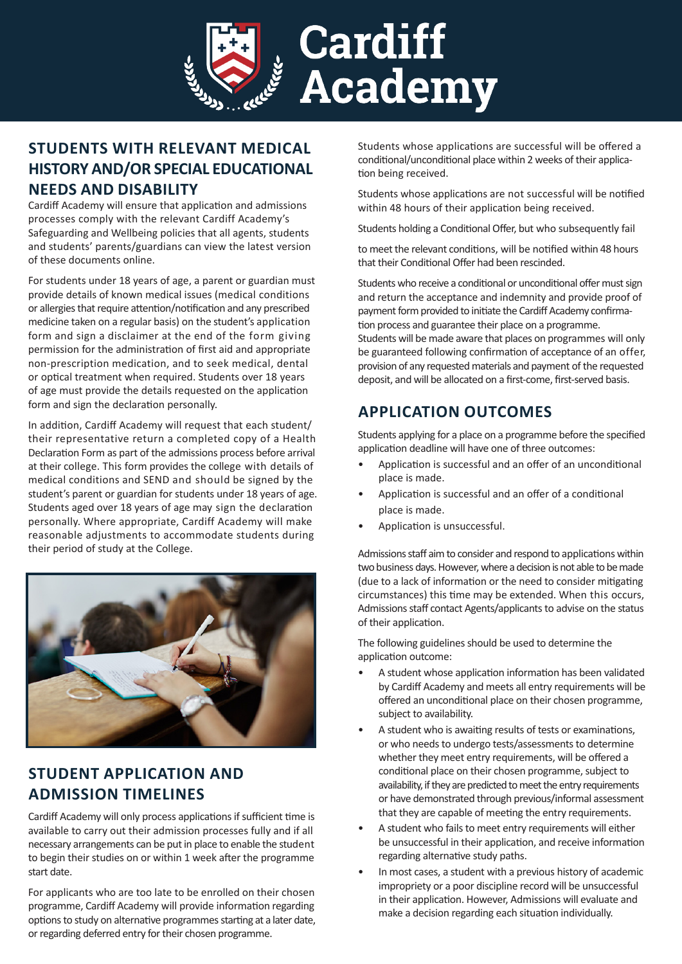

# **STUDENTS WITH RELEVANT MEDICAL HISTORY AND/OR SPECIAL EDUCATIONAL NEEDS AND DISABILITY**

Cardiff Academy will ensure that application and admissions processes comply with the relevant Cardiff Academy's Safeguarding and Wellbeing policies that all agents, students and students' parents/guardians can view the latest version of these documents online.

For students under 18 years of age, a parent or guardian must provide details of known medical issues (medical conditions or allergies that require attention/notification and any prescribed medicine taken on a regular basis) on the student's application form and sign a disclaimer at the end of the form giving permission for the administration of first aid and appropriate non-prescription medication, and to seek medical, dental or optical treatment when required. Students over 18 years of age must provide the details requested on the application form and sign the declaration personally.

In addition, Cardiff Academy will request that each student/ their representative return a completed copy of a Health Declaration Form as part of the admissions process before arrival at their college. This form provides the college with details of medical conditions and SEND and should be signed by the student's parent or guardian for students under 18 years of age. Students aged over 18 years of age may sign the declaration personally. Where appropriate, Cardiff Academy will make reasonable adjustments to accommodate students during their period of study at the College.



# **STUDENT APPLICATION AND ADMISSION TIMELINES**

Cardiff Academy will only process applications if sufficient time is available to carry out their admission processes fully and if all necessary arrangements can be put in place to enable the student to begin their studies on or within 1 week after the programme start date.

For applicants who are too late to be enrolled on their chosen programme, Cardiff Academy will provide information regarding options to study on alternative programmes starting at a later date, or regarding deferred entry for their chosen programme.

Students whose applications are successful will be offered a conditional/unconditional place within 2 weeks of their application being received.

Students whose applications are not successful will be notified within 48 hours of their application being received.

Students holding a Conditional Offer, but who subsequently fail

to meet the relevant conditions, will be notified within 48 hours that their Conditional Offer had been rescinded.

Students who receive a conditional or unconditional offer must sign and return the acceptance and indemnity and provide proof of payment form provided to initiate the Cardiff Academy confirmation process and guarantee their place on a programme.

Students will be made aware that places on programmes will only be guaranteed following confirmation of acceptance of an offer, provision of any requested materials and payment of the requested deposit, and will be allocated on a first-come, first-served basis.

# **APPLICATION OUTCOMES**

Students applying for a place on a programme before the specified application deadline will have one of three outcomes:

- Application is successful and an offer of an unconditional place is made.
- Application is successful and an offer of a conditional place is made.
- Application is unsuccessful.

Admissions staff aim to consider and respond to applications within two business days. However, where a decision is not able to be made (due to a lack of information or the need to consider mitigating circumstances) this time may be extended. When this occurs, Admissions staff contact Agents/applicants to advise on the status of their application.

The following guidelines should be used to determine the application outcome:

- A student whose application information has been validated by Cardiff Academy and meets all entry requirements will be offered an unconditional place on their chosen programme, subject to availability.
- A student who is awaiting results of tests or examinations, or who needs to undergo tests/assessments to determine whether they meet entry requirements, will be offered a conditional place on their chosen programme, subject to availability, if they are predicted to meet the entry requirements or have demonstrated through previous/informal assessment that they are capable of meeting the entry requirements.
- A student who fails to meet entry requirements will either be unsuccessful in their application, and receive information regarding alternative study paths.
- In most cases, a student with a previous history of academic impropriety or a poor discipline record will be unsuccessful in their application. However, Admissions will evaluate and make a decision regarding each situation individually.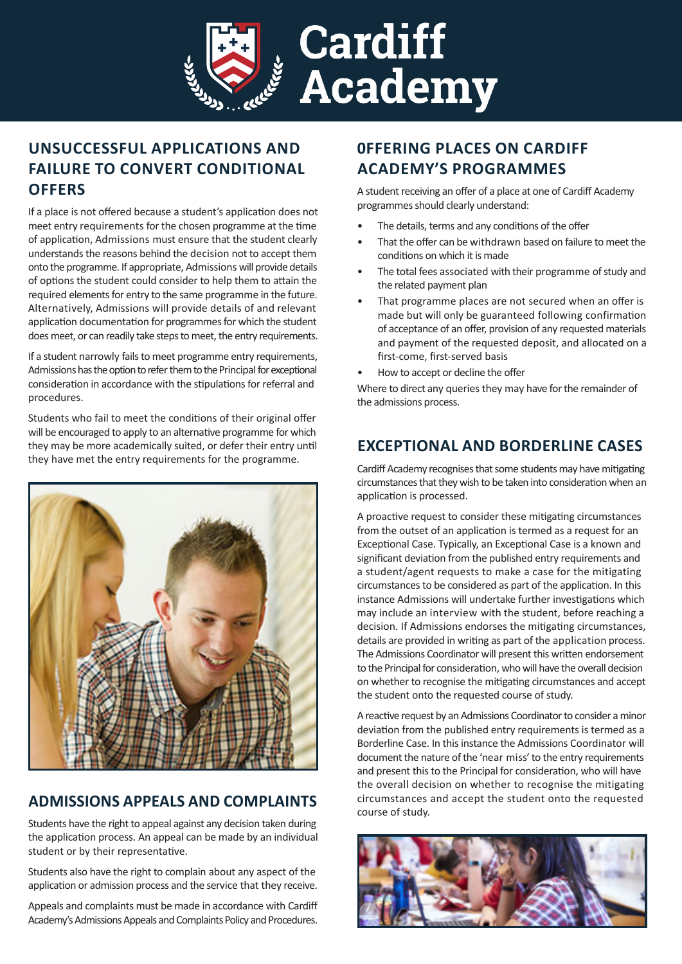

# **UNSUCCESSFUL APPLICATIONS AND FAILURE TO CONVERT CONDITIONAL OFFERS**

If a place is not offered because a student's application does not meet entry requirements for the chosen programme at the time of application, Admissions must ensure that the student clearly understands the reasons behind the decision not to accept them onto the programme. If appropriate, Admissions will provide details of options the student could consider to help them to attain the required elements for entry to the same programme in the future. Alternatively, Admissions will provide details of and relevant application documentation for programmes for which the student does meet, or can readily take steps to meet, the entry requirements.

If a student narrowly fails to meet programme entry requirements, Admissions has the option to refer them to the Principal for exceptional consideration in accordance with the stipulations for referral and procedures.

Students who fail to meet the conditions of their original offer will be encouraged to apply to an alternative programme for which they may be more academically suited, or defer their entry until they have met the entry requirements for the programme.



# **ADMISSIONS APPEALS AND COMPLAINTS**

Students have the right to appeal against any decision taken during the application process. An appeal can be made by an individual student or by their representative.

Students also have the right to complain about any aspect of the application or admission process and the service that they receive.

Appeals and complaints must be made in accordance with Cardiff Academy's Admissions Appeals and Complaints Policy and Procedures.

# **0FFERING PLACES ON CARDIFF ACADEMY'S PROGRAMMES**

A student receiving an offer of a place at one of Cardiff Academy programmes should clearly understand:

- The details, terms and any conditions of the offer
- That the offer can be withdrawn based on failure to meet the conditions on which it is made
- The total fees associated with their programme of study and the related payment plan
- That programme places are not secured when an offer is made but will only be guaranteed following confirmation of acceptance of an offer, provision of any requested materials and payment of the requested deposit, and allocated on a first-come, first-served basis
- How to accept or decline the offer

Where to direct any queries they may have for the remainder of the admissions process.

## **EXCEPTIONAL AND BORDERLINE CASES**

Cardiff Academy recognises that some students may have mitigating circumstances that they wish to be taken into consideration when an application is processed.

A proactive request to consider these mitigating circumstances from the outset of an application is termed as a request for an Exceptional Case. Typically, an Exceptional Case is a known and significant deviation from the published entry requirements and a student/agent requests to make a case for the mitigating circumstances to be considered as part of the application. In this instance Admissions will undertake further investigations which may include an interview with the student, before reaching a decision. If Admissions endorses the mitigating circumstances, details are provided in writing as part of the application process. The Admissions Coordinator will present this written endorsement to the Principal for consideration, who will have the overall decision on whether to recognise the mitigating circumstances and accept the student onto the requested course of study.

A reactive request by an Admissions Coordinator to consider a minor deviation from the published entry requirements is termed as a Borderline Case. In this instance the Admissions Coordinator will document the nature of the 'near miss' to the entry requirements and present this to the Principal for consideration, who will have the overall decision on whether to recognise the mitigating circumstances and accept the student onto the requested course of study.